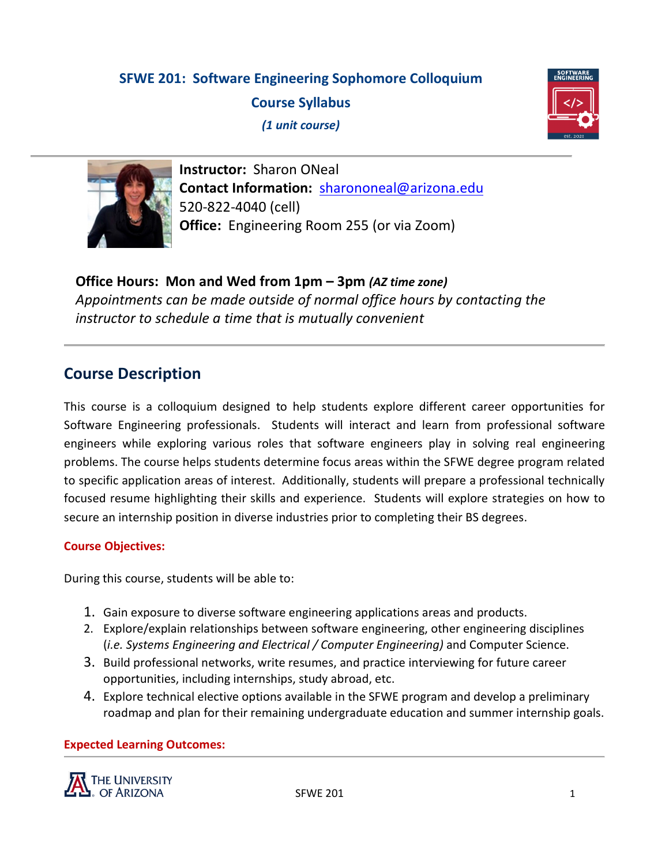# **SFWE 201: Software Engineering Sophomore Colloquium Course Syllabus** *(1 unit course)*





**Instructor:** Sharon ONeal **Contact Information:** [sharononeal@arizona.edu](mailto:sharononeal@arizona.edu) 520-822-4040 (cell) **Office:** Engineering Room 255 (or via Zoom)

# **Office Hours: Mon and Wed from 1pm – 3pm** *(AZ time zone) Appointments can be made outside of normal office hours by contacting the instructor to schedule a time that is mutually convenient*

# **Course Description**

This course is a colloquium designed to help students explore different career opportunities for Software Engineering professionals. Students will interact and learn from professional software engineers while exploring various roles that software engineers play in solving real engineering problems. The course helps students determine focus areas within the SFWE degree program related to specific application areas of interest. Additionally, students will prepare a professional technically focused resume highlighting their skills and experience. Students will explore strategies on how to secure an internship position in diverse industries prior to completing their BS degrees.

# **Course Objectives:**

During this course, students will be able to:

- 1. Gain exposure to diverse software engineering applications areas and products.
- 2. Explore/explain relationships between software engineering, other engineering disciplines (*i.e. Systems Engineering and Electrical / Computer Engineering)* and Computer Science.
- 3. Build professional networks, write resumes, and practice interviewing for future career opportunities, including internships, study abroad, etc.
- 4. Explore technical elective options available in the SFWE program and develop a preliminary roadmap and plan for their remaining undergraduate education and summer internship goals.

# **Expected Learning Outcomes:**

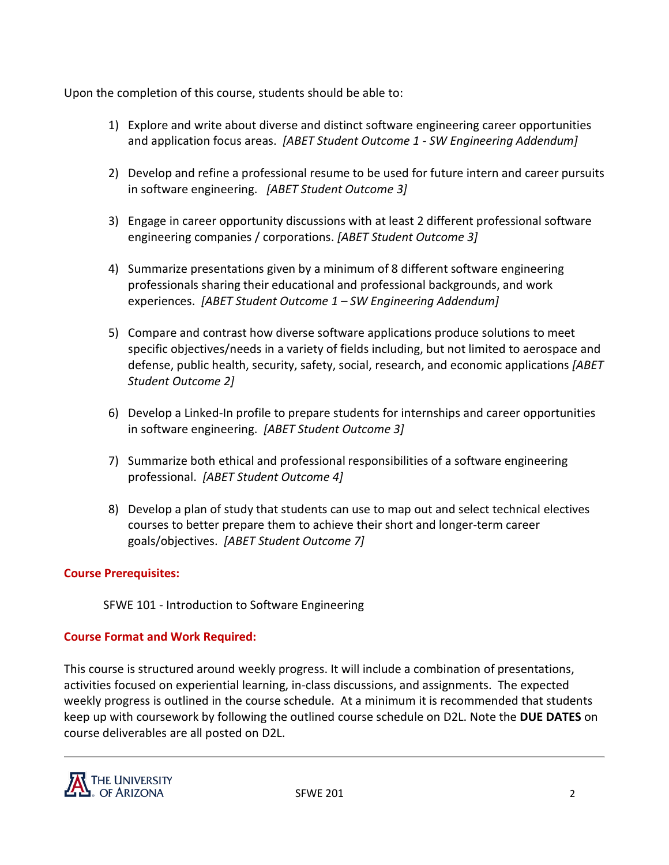Upon the completion of this course, students should be able to:

- 1) Explore and write about diverse and distinct software engineering career opportunities and application focus areas. *[ABET Student Outcome 1 - SW Engineering Addendum]*
- 2) Develop and refine a professional resume to be used for future intern and career pursuits in software engineering. *[ABET Student Outcome 3]*
- 3) Engage in career opportunity discussions with at least 2 different professional software engineering companies / corporations. *[ABET Student Outcome 3]*
- 4) Summarize presentations given by a minimum of 8 different software engineering professionals sharing their educational and professional backgrounds, and work experiences. *[ABET Student Outcome 1 – SW Engineering Addendum]*
- 5) Compare and contrast how diverse software applications produce solutions to meet specific objectives/needs in a variety of fields including, but not limited to aerospace and defense, public health, security, safety, social, research, and economic applications *[ABET Student Outcome 2]*
- 6) Develop a Linked-In profile to prepare students for internships and career opportunities in software engineering. *[ABET Student Outcome 3]*
- 7) Summarize both ethical and professional responsibilities of a software engineering professional. *[ABET Student Outcome 4]*
- 8) Develop a plan of study that students can use to map out and select technical electives courses to better prepare them to achieve their short and longer-term career goals/objectives. *[ABET Student Outcome 7]*

# **Course Prerequisites:**

SFWE 101 - Introduction to Software Engineering

# **Course Format and Work Required:**

This course is structured around weekly progress. It will include a combination of presentations, activities focused on experiential learning, in-class discussions, and assignments. The expected weekly progress is outlined in the course schedule. At a minimum it is recommended that students keep up with coursework by following the outlined course schedule on D2L. Note the **DUE DATES** on course deliverables are all posted on D2L.

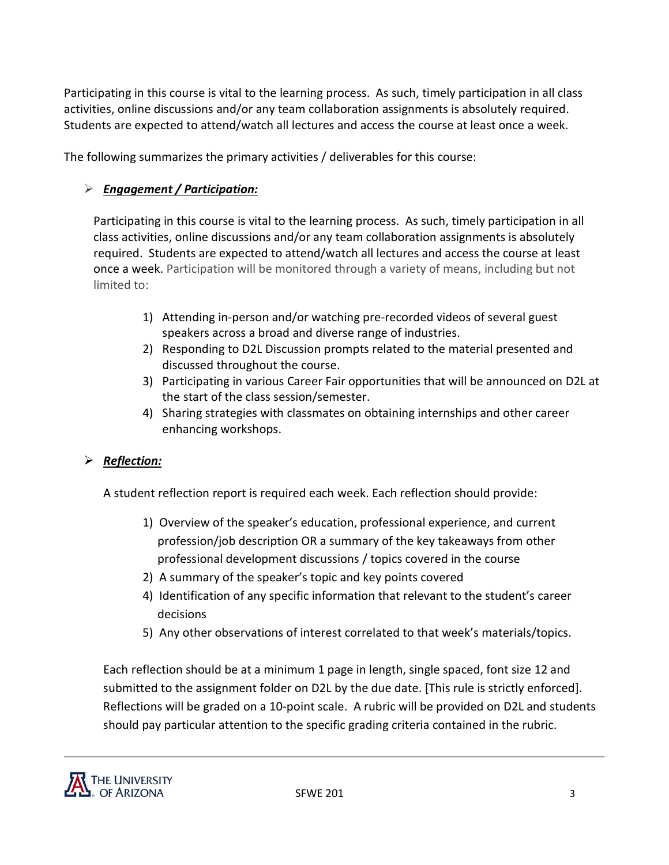Participating in this course is vital to the learning process. As such, timely participation in all class activities, online discussions and/or any team collaboration assignments is absolutely required. Students are expected to attend/watch all lectures and access the course at least once a week.

The following summarizes the primary activities / deliverables for this course:

# *Engagement / Participation:*

Participating in this course is vital to the learning process. As such, timely participation in all class activities, online discussions and/or any team collaboration assignments is absolutely required. Students are expected to attend/watch all lectures and access the course at least once a week. Participation will be monitored through a variety of means, including but not limited to:

- 1) Attending in-person and/or watching pre-recorded videos of several guest speakers across a broad and diverse range of industries.
- 2) Responding to D2L Discussion prompts related to the material presented and discussed throughout the course.
- 3) Participating in various Career Fair opportunities that will be announced on D2L at the start of the class session/semester.
- 4) Sharing strategies with classmates on obtaining internships and other career enhancing workshops.

# *Reflection:*

A student reflection report is required each week. Each reflection should provide:

- 1) Overview of the speaker's education, professional experience, and current profession/job description OR a summary of the key takeaways from other professional development discussions / topics covered in the course
- 2) A summary of the speaker's topic and key points covered
- 4) Identification of any specific information that relevant to the student's career decisions
- 5) Any other observations of interest correlated to that week's materials/topics.

Each reflection should be at a minimum 1 page in length, single spaced, font size 12 and submitted to the assignment folder on D2L by the due date. [This rule is strictly enforced]. Reflections will be graded on a 10-point scale. A rubric will be provided on D2L and students should pay particular attention to the specific grading criteria contained in the rubric.

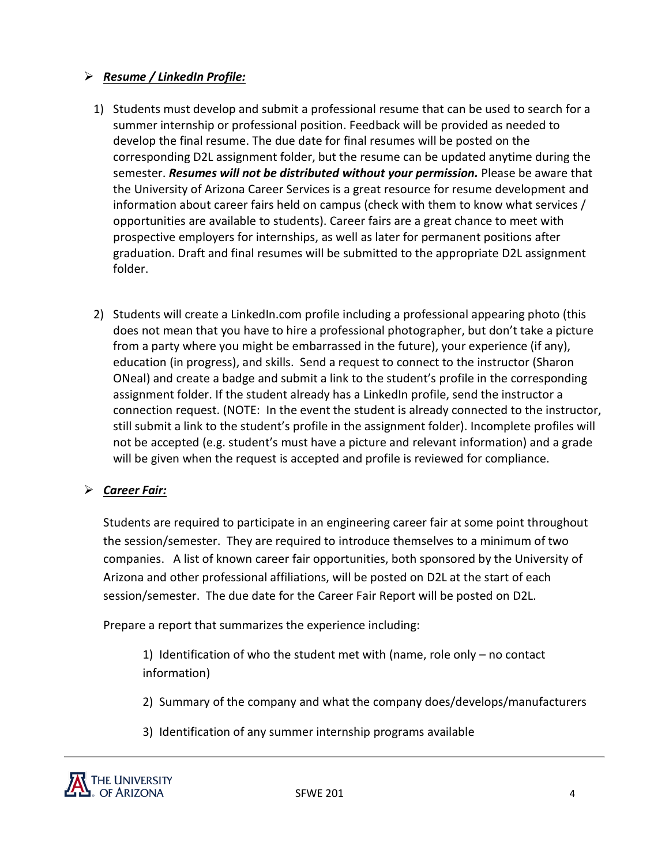# *Resume / LinkedIn Profile:*

- 1) Students must develop and submit a professional resume that can be used to search for a summer internship or professional position. Feedback will be provided as needed to develop the final resume. The due date for final resumes will be posted on the corresponding D2L assignment folder, but the resume can be updated anytime during the semester. *Resumes will not be distributed without your permission.* Please be aware that the University of Arizona Career Services is a great resource for resume development and information about career fairs held on campus (check with them to know what services / opportunities are available to students). Career fairs are a great chance to meet with prospective employers for internships, as well as later for permanent positions after graduation. Draft and final resumes will be submitted to the appropriate D2L assignment folder.
- 2) Students will create a LinkedIn.com profile including a professional appearing photo (this does not mean that you have to hire a professional photographer, but don't take a picture from a party where you might be embarrassed in the future), your experience (if any), education (in progress), and skills. Send a request to connect to the instructor (Sharon ONeal) and create a badge and submit a link to the student's profile in the corresponding assignment folder. If the student already has a LinkedIn profile, send the instructor a connection request. (NOTE: In the event the student is already connected to the instructor, still submit a link to the student's profile in the assignment folder). Incomplete profiles will not be accepted (e.g. student's must have a picture and relevant information) and a grade will be given when the request is accepted and profile is reviewed for compliance.

# *Career Fair:*

Students are required to participate in an engineering career fair at some point throughout the session/semester. They are required to introduce themselves to a minimum of two companies. A list of known career fair opportunities, both sponsored by the University of Arizona and other professional affiliations, will be posted on D2L at the start of each session/semester. The due date for the Career Fair Report will be posted on D2L.

Prepare a report that summarizes the experience including:

1) Identification of who the student met with (name, role only – no contact information)

- 2) Summary of the company and what the company does/develops/manufacturers
- 3) Identification of any summer internship programs available

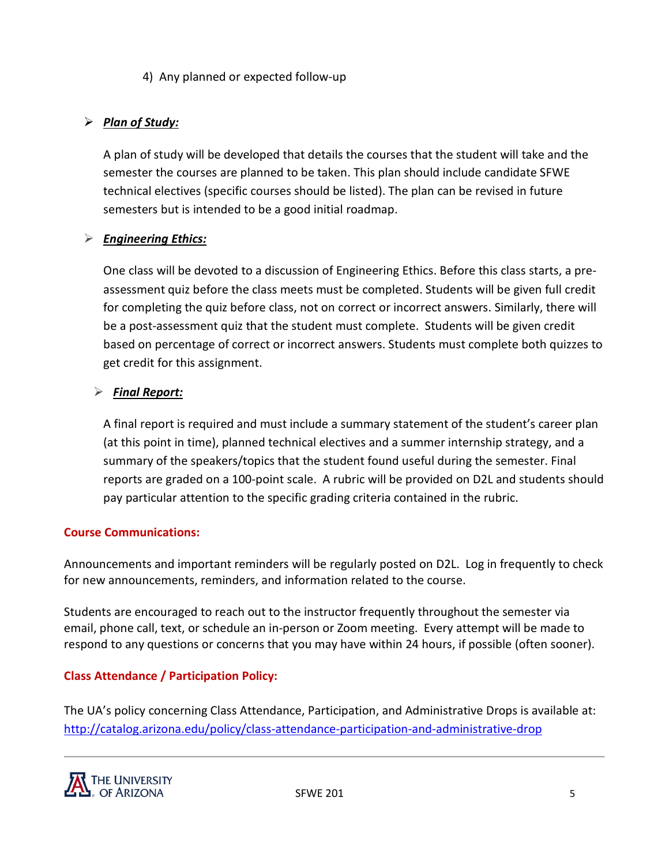## 4) Any planned or expected follow-up

## *Plan of Study:*

A plan of study will be developed that details the courses that the student will take and the semester the courses are planned to be taken. This plan should include candidate SFWE technical electives (specific courses should be listed). The plan can be revised in future semesters but is intended to be a good initial roadmap.

#### *Engineering Ethics:*

One class will be devoted to a discussion of Engineering Ethics. Before this class starts, a preassessment quiz before the class meets must be completed. Students will be given full credit for completing the quiz before class, not on correct or incorrect answers. Similarly, there will be a post-assessment quiz that the student must complete. Students will be given credit based on percentage of correct or incorrect answers. Students must complete both quizzes to get credit for this assignment.

#### *Final Report:*

A final report is required and must include a summary statement of the student's career plan (at this point in time), planned technical electives and a summer internship strategy, and a summary of the speakers/topics that the student found useful during the semester. Final reports are graded on a 100-point scale. A rubric will be provided on D2L and students should pay particular attention to the specific grading criteria contained in the rubric.

#### **Course Communications:**

Announcements and important reminders will be regularly posted on D2L. Log in frequently to check for new announcements, reminders, and information related to the course.

Students are encouraged to reach out to the instructor frequently throughout the semester via email, phone call, text, or schedule an in-person or Zoom meeting. Every attempt will be made to respond to any questions or concerns that you may have within 24 hours, if possible (often sooner).

#### **Class Attendance / Participation Policy:**

The UA's policy concerning Class Attendance, Participation, and Administrative Drops is available at: <http://catalog.arizona.edu/policy/class-attendance-participation-and-administrative-drop>

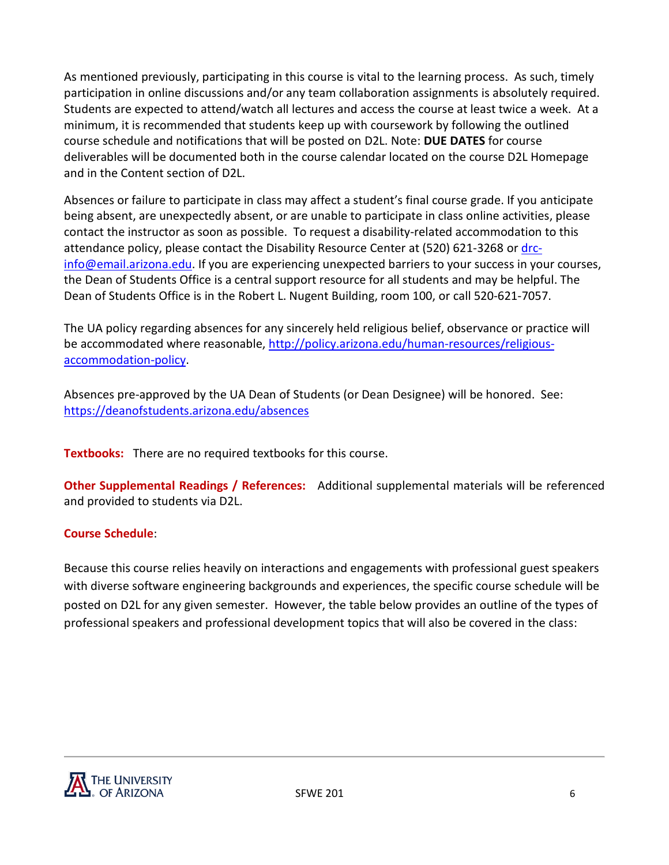As mentioned previously, participating in this course is vital to the learning process. As such, timely participation in online discussions and/or any team collaboration assignments is absolutely required. Students are expected to attend/watch all lectures and access the course at least twice a week. At a minimum, it is recommended that students keep up with coursework by following the outlined course schedule and notifications that will be posted on D2L. Note: **DUE DATES** for course deliverables will be documented both in the course calendar located on the course D2L Homepage and in the Content section of D2L.

Absences or failure to participate in class may affect a student's final course grade. If you anticipate being absent, are unexpectedly absent, or are unable to participate in class online activities, please contact the instructor as soon as possible. To request a disability-related accommodation to this attendance policy, please contact the Disability Resource Center at (520) 621-3268 or [drc](mailto:drc-info@email.arizona.edu)[info@email.arizona.edu.](mailto:drc-info@email.arizona.edu) If you are experiencing unexpected barriers to your success in your courses, the Dean of Students Office is a central support resource for all students and may be helpful. The Dean of Students Office is in the Robert L. Nugent Building, room 100, or call 520-621-7057.

The UA policy regarding absences for any sincerely held religious belief, observance or practice will be accommodated where reasonable[, http://policy.arizona.edu/human-resources/religious](http://policy.arizona.edu/human-resources/religious-accommodation-policy)[accommodation-policy.](http://policy.arizona.edu/human-resources/religious-accommodation-policy)

Absences pre-approved by the UA Dean of Students (or Dean Designee) will be honored. See: <https://deanofstudents.arizona.edu/absences>

**Textbooks:** There are no required textbooks for this course.

**Other Supplemental Readings / References:** Additional supplemental materials will be referenced and provided to students via D2L.

# **Course Schedule**:

Because this course relies heavily on interactions and engagements with professional guest speakers with diverse software engineering backgrounds and experiences, the specific course schedule will be posted on D2L for any given semester. However, the table below provides an outline of the types of professional speakers and professional development topics that will also be covered in the class:

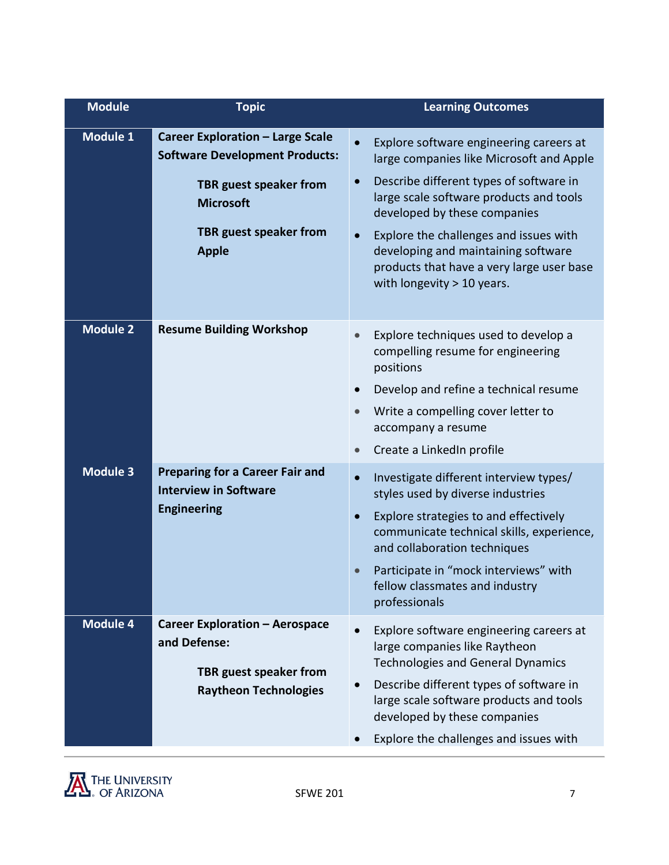| <b>Module</b>   | <b>Topic</b>                                                                                                                                                                           | <b>Learning Outcomes</b>                                                                                                                                                                                                                                                                                                                                                                                       |
|-----------------|----------------------------------------------------------------------------------------------------------------------------------------------------------------------------------------|----------------------------------------------------------------------------------------------------------------------------------------------------------------------------------------------------------------------------------------------------------------------------------------------------------------------------------------------------------------------------------------------------------------|
| <b>Module 1</b> | <b>Career Exploration - Large Scale</b><br><b>Software Development Products:</b><br><b>TBR guest speaker from</b><br><b>Microsoft</b><br><b>TBR guest speaker from</b><br><b>Apple</b> | Explore software engineering careers at<br>$\bullet$<br>large companies like Microsoft and Apple<br>Describe different types of software in<br>$\bullet$<br>large scale software products and tools<br>developed by these companies<br>Explore the challenges and issues with<br>$\bullet$<br>developing and maintaining software<br>products that have a very large user base<br>with longevity $> 10$ years. |
| <b>Module 2</b> | <b>Resume Building Workshop</b>                                                                                                                                                        | Explore techniques used to develop a<br>compelling resume for engineering<br>positions<br>Develop and refine a technical resume<br>Write a compelling cover letter to<br>$\bullet$<br>accompany a resume<br>Create a LinkedIn profile<br>$\qquad \qquad \bullet$                                                                                                                                               |
| <b>Module 3</b> | <b>Preparing for a Career Fair and</b><br><b>Interview in Software</b><br><b>Engineering</b>                                                                                           | Investigate different interview types/<br>$\bullet$<br>styles used by diverse industries<br>Explore strategies to and effectively<br>$\bullet$<br>communicate technical skills, experience,<br>and collaboration techniques<br>Participate in "mock interviews" with<br>$\bullet$<br>fellow classmates and industry<br>professionals                                                                           |
| <b>Module 4</b> | <b>Career Exploration - Aerospace</b><br>and Defense:<br><b>TBR</b> guest speaker from<br><b>Raytheon Technologies</b>                                                                 | Explore software engineering careers at<br>$\bullet$<br>large companies like Raytheon<br><b>Technologies and General Dynamics</b><br>Describe different types of software in<br>large scale software products and tools<br>developed by these companies<br>Explore the challenges and issues with<br>$\bullet$                                                                                                 |

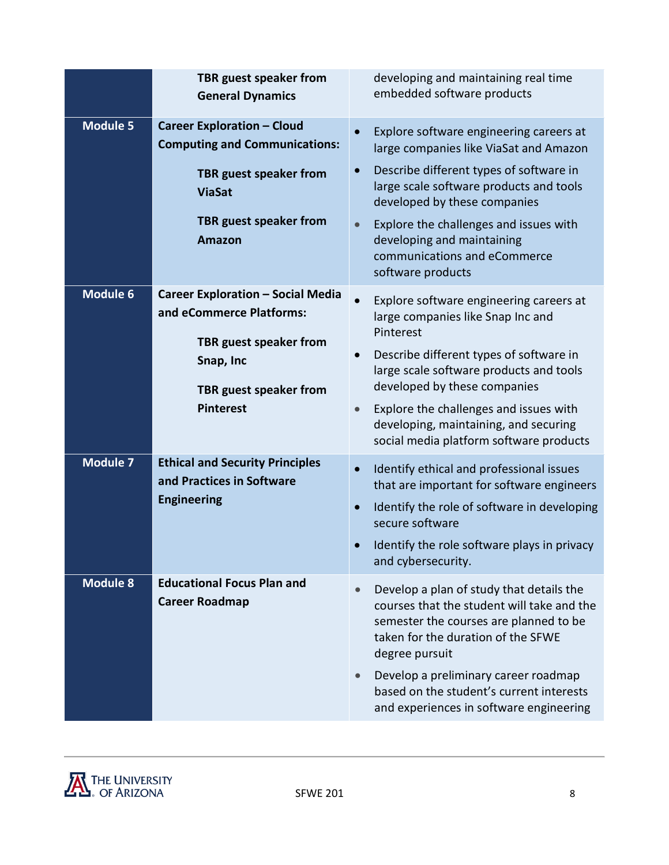|                     | TBR guest speaker from<br><b>General Dynamics</b>                                                                                                                       | developing and maintaining real time<br>embedded software products                                                                                                                                                                                                                                                                                                                   |
|---------------------|-------------------------------------------------------------------------------------------------------------------------------------------------------------------------|--------------------------------------------------------------------------------------------------------------------------------------------------------------------------------------------------------------------------------------------------------------------------------------------------------------------------------------------------------------------------------------|
| Module <sub>5</sub> | <b>Career Exploration - Cloud</b><br><b>Computing and Communications:</b><br>TBR guest speaker from<br><b>ViaSat</b><br><b>TBR</b> guest speaker from<br><b>Amazon</b>  | Explore software engineering careers at<br>$\bullet$<br>large companies like ViaSat and Amazon<br>Describe different types of software in<br>$\bullet$<br>large scale software products and tools<br>developed by these companies<br>Explore the challenges and issues with<br>$\bullet$<br>developing and maintaining<br>communications and eCommerce<br>software products          |
| <b>Module 6</b>     | <b>Career Exploration - Social Media</b><br>and eCommerce Platforms:<br><b>TBR</b> guest speaker from<br>Snap, Inc<br><b>TBR</b> guest speaker from<br><b>Pinterest</b> | $\bullet$<br>Explore software engineering careers at<br>large companies like Snap Inc and<br>Pinterest<br>Describe different types of software in<br>$\bullet$<br>large scale software products and tools<br>developed by these companies<br>Explore the challenges and issues with<br>$\bullet$<br>developing, maintaining, and securing<br>social media platform software products |
| <b>Module 7</b>     | <b>Ethical and Security Principles</b><br>and Practices in Software<br><b>Engineering</b>                                                                               | Identify ethical and professional issues<br>$\bullet$<br>that are important for software engineers<br>Identify the role of software in developing<br>$\bullet$<br>secure software<br>Identify the role software plays in privacy<br>and cybersecurity.                                                                                                                               |
| <b>Module 8</b>     | <b>Educational Focus Plan and</b><br><b>Career Roadmap</b>                                                                                                              | Develop a plan of study that details the<br>courses that the student will take and the<br>semester the courses are planned to be<br>taken for the duration of the SFWE<br>degree pursuit<br>Develop a preliminary career roadmap<br>$\bullet$<br>based on the student's current interests<br>and experiences in software engineering                                                 |
|                     |                                                                                                                                                                         |                                                                                                                                                                                                                                                                                                                                                                                      |

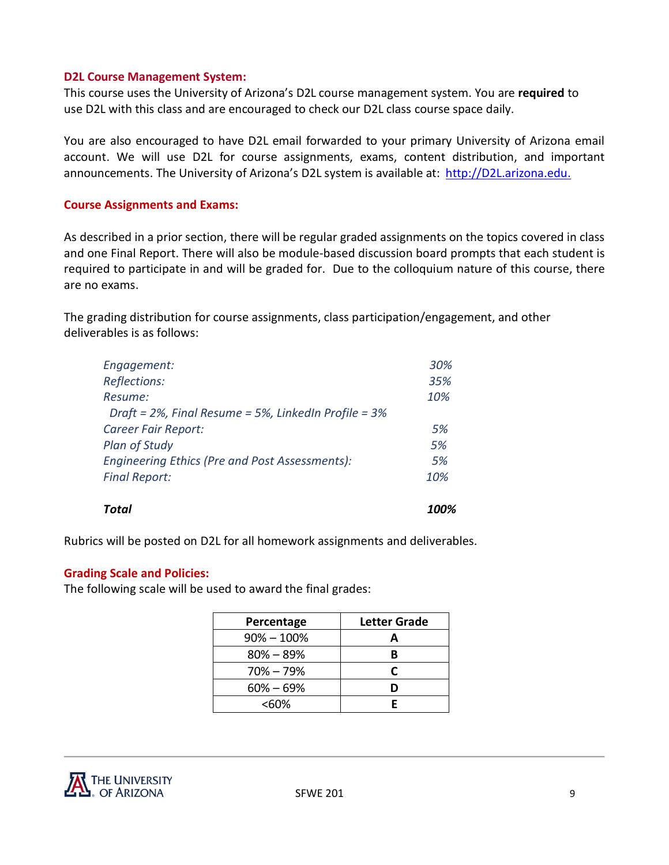#### **D2L Course Management System:**

This course uses the University of Arizona's D2L course management system. You are **required** to use D2L with this class and are encouraged to check our D2L class course space daily.

You are also encouraged to have D2L email forwarded to your primary University of Arizona email account. We will use D2L for course assignments, exams, content distribution, and important announcements. The University of Arizona's D2L system is available at: [http://D2L.arizona.edu.](http://d2l.arizona.edu./)

#### **Course Assignments and Exams:**

As described in a prior section, there will be regular graded assignments on the topics covered in class and one Final Report. There will also be module-based discussion board prompts that each student is required to participate in and will be graded for. Due to the colloquium nature of this course, there are no exams.

The grading distribution for course assignments, class participation/engagement, and other deliverables is as follows:

| Engagement:                                                     | 30% |
|-----------------------------------------------------------------|-----|
| <b>Reflections:</b>                                             | 35% |
| Resume:                                                         | 10% |
| Draft = $2\%$ , Final Resume = $5\%$ , LinkedIn Profile = $3\%$ |     |
| Career Fair Report:                                             | .5% |
| <b>Plan of Study</b>                                            | 5%  |
| <b>Engineering Ethics (Pre and Post Assessments):</b>           | .5% |
| <b>Final Report:</b>                                            | 10% |
| <b>Total</b>                                                    |     |

Rubrics will be posted on D2L for all homework assignments and deliverables.

#### **Grading Scale and Policies:**

The following scale will be used to award the final grades:

| Percentage     | <b>Letter Grade</b> |
|----------------|---------------------|
| $90\% - 100\%$ |                     |
| $80\% - 89\%$  | R                   |
| $70\% - 79\%$  | r                   |
| $60\% - 69\%$  |                     |
| <60%           |                     |

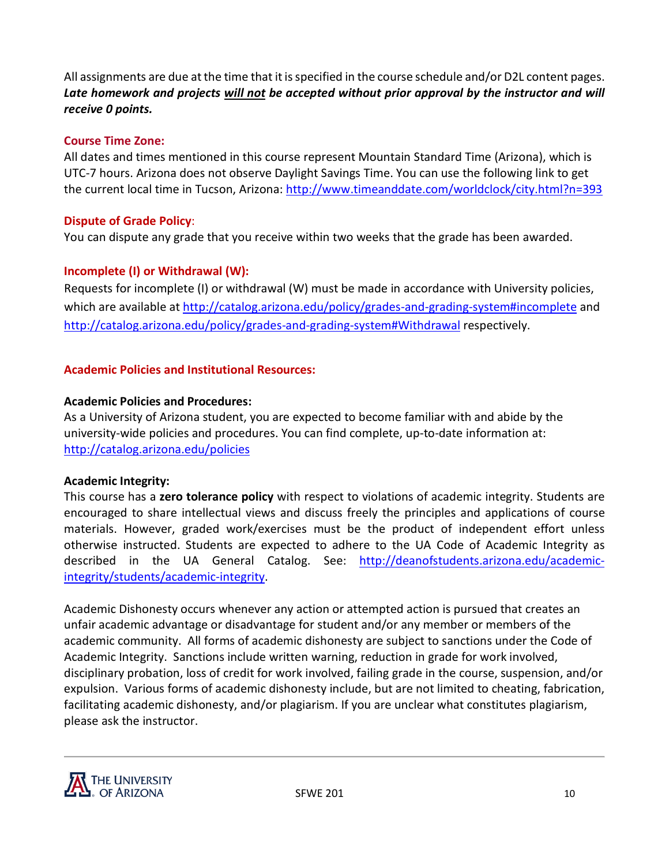All assignments are due at the time that it is specified in the course schedule and/or D2L content pages. *Late homework and projects will not be accepted without prior approval by the instructor and will receive 0 points.*

#### **Course Time Zone:**

All dates and times mentioned in this course represent Mountain Standard Time (Arizona), which is UTC-7 hours. Arizona does not observe Daylight Savings Time. You can use the following link to get the current local time in Tucson, Arizona[: http://www.timeanddate.com/worldclock/city.html?n=393](http://www.timeanddate.com/worldclock/city.html?n=393)

#### **Dispute of Grade Policy**:

You can dispute any grade that you receive within two weeks that the grade has been awarded.

#### **Incomplete (I) or Withdrawal (W):**

Requests for incomplete (I) or withdrawal (W) must be made in accordance with University policies, which are available at<http://catalog.arizona.edu/policy/grades-and-grading-system#incomplete> and <http://catalog.arizona.edu/policy/grades-and-grading-system#Withdrawal> respectively.

#### **Academic Policies and Institutional Resources:**

#### **Academic Policies and Procedures:**

As a University of Arizona student, you are expected to become familiar with and abide by the university-wide policies and procedures. You can find complete, up-to-date information at: <http://catalog.arizona.edu/policies>

#### **Academic Integrity:**

This course has a **zero tolerance policy** with respect to violations of academic integrity. Students are encouraged to share intellectual views and discuss freely the principles and applications of course materials. However, graded work/exercises must be the product of independent effort unless otherwise instructed. Students are expected to adhere to the UA Code of Academic Integrity as described in the UA General Catalog. See: [http://deanofstudents.arizona.edu/academic](http://deanofstudents.arizona.edu/academic-integrity/students/academic-integrity)[integrity/students/academic-integrity.](http://deanofstudents.arizona.edu/academic-integrity/students/academic-integrity)

Academic Dishonesty occurs whenever any action or attempted action is pursued that creates an unfair academic advantage or disadvantage for student and/or any member or members of the academic community. All forms of academic dishonesty are subject to sanctions under the Code of Academic Integrity. Sanctions include written warning, reduction in grade for work involved, disciplinary probation, loss of credit for work involved, failing grade in the course, suspension, and/or expulsion. Various forms of academic dishonesty include, but are not limited to cheating, fabrication, facilitating academic dishonesty, and/or plagiarism. If you are unclear what constitutes plagiarism, please ask the instructor.

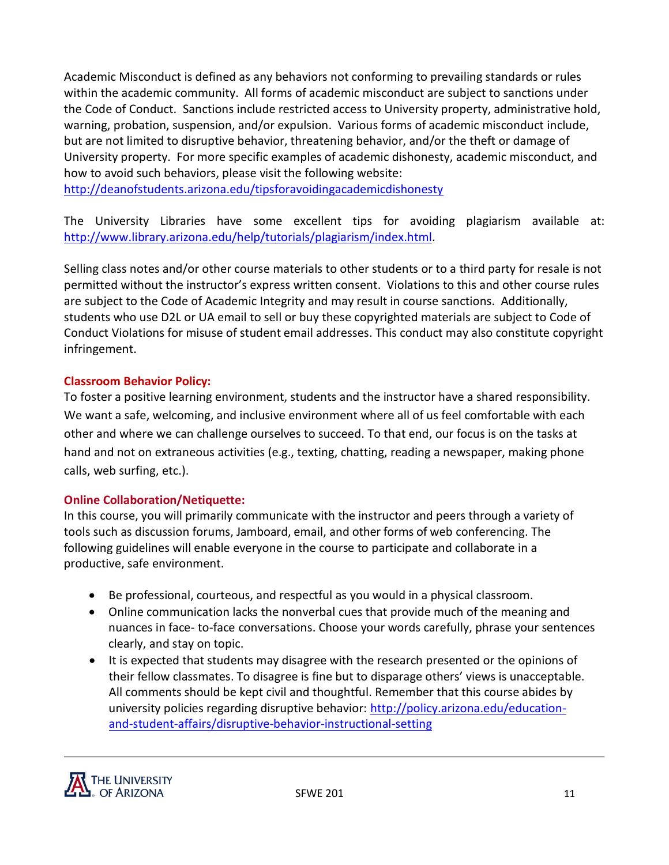Academic Misconduct is defined as any behaviors not conforming to prevailing standards or rules within the academic community. All forms of academic misconduct are subject to sanctions under the Code of Conduct. Sanctions include restricted access to University property, administrative hold, warning, probation, suspension, and/or expulsion. Various forms of academic misconduct include, but are not limited to disruptive behavior, threatening behavior, and/or the theft or damage of University property. For more specific examples of academic dishonesty, academic misconduct, and how to avoid such behaviors, please visit the following website:

<http://deanofstudents.arizona.edu/tipsforavoidingacademicdishonesty>

The University Libraries have some excellent tips for avoiding plagiarism available at: [http://www.library.arizona.edu/help/tutorials/plagiarism/index.html.](http://www.library.arizona.edu/help/tutorials/plagiarism/index.html)

Selling class notes and/or other course materials to other students or to a third party for resale is not permitted without the instructor's express written consent. Violations to this and other course rules are subject to the Code of Academic Integrity and may result in course sanctions. Additionally, students who use D2L or UA email to sell or buy these copyrighted materials are subject to Code of Conduct Violations for misuse of student email addresses. This conduct may also constitute copyright infringement.

#### **Classroom Behavior Policy:**

To foster a positive learning environment, students and the instructor have a shared responsibility. We want a safe, welcoming, and inclusive environment where all of us feel comfortable with each other and where we can challenge ourselves to succeed. To that end, our focus is on the tasks at hand and not on extraneous activities (e.g., texting, chatting, reading a newspaper, making phone calls, web surfing, etc.).

#### **Online Collaboration/Netiquette:**

In this course, you will primarily communicate with the instructor and peers through a variety of tools such as discussion forums, Jamboard, email, and other forms of web conferencing. The following guidelines will enable everyone in the course to participate and collaborate in a productive, safe environment.

- Be professional, courteous, and respectful as you would in a physical classroom.
- Online communication lacks the nonverbal cues that provide much of the meaning and nuances in face- to-face conversations. Choose your words carefully, phrase your sentences clearly, and stay on topic.
- It is expected that students may disagree with the research presented or the opinions of their fellow classmates. To disagree is fine but to disparage others' views is unacceptable. All comments should be kept civil and thoughtful. Remember that this course abides by university policies regarding disruptive behavior: [http://policy.arizona.edu/education](http://policy.arizona.edu/education-and-student-affairs/disruptive-behavior-instructional-setting)[and-student-affairs/disruptive-behavior-instructional-setting](http://policy.arizona.edu/education-and-student-affairs/disruptive-behavior-instructional-setting)

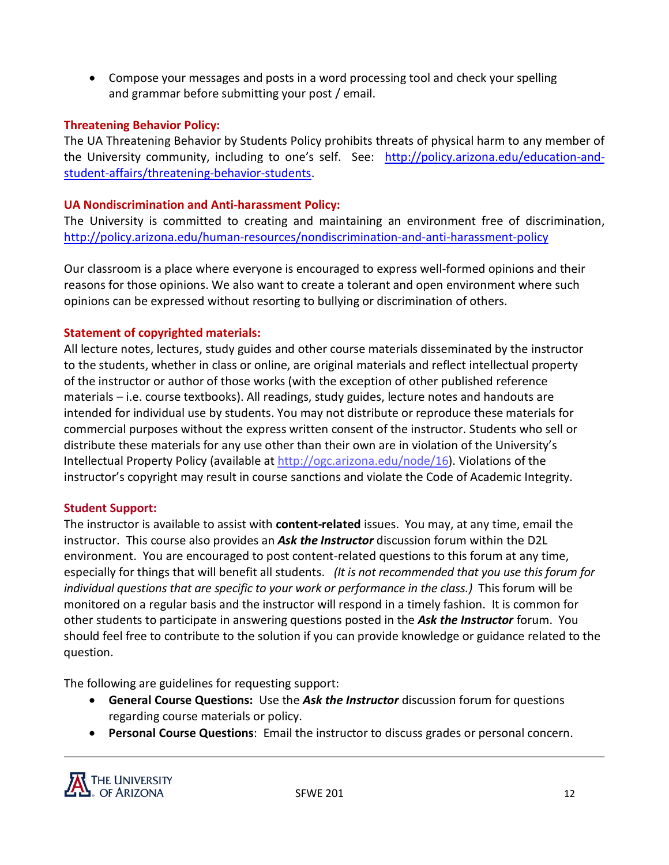• Compose your messages and posts in a word processing tool and check your spelling and grammar before submitting your post / email.

## **Threatening Behavior Policy:**

The UA Threatening Behavior by Students Policy prohibits threats of physical harm to any member of the University community, including to one's self. See: [http://policy.arizona.edu/education-and](http://policy.arizona.edu/education-and-student-affairs/threatening-behavior-students)[student-affairs/threatening-behavior-students.](http://policy.arizona.edu/education-and-student-affairs/threatening-behavior-students)

### **UA Nondiscrimination and Anti-harassment Policy:**

The University is committed to creating and maintaining an environment free of discrimination, <http://policy.arizona.edu/human-resources/nondiscrimination-and-anti-harassment-policy>

Our classroom is a place where everyone is encouraged to express well-formed opinions and their reasons for those opinions. We also want to create a tolerant and open environment where such opinions can be expressed without resorting to bullying or discrimination of others.

## **Statement of copyrighted materials:**

All lecture notes, lectures, study guides and other course materials disseminated by the instructor to the students, whether in class or online, are original materials and reflect intellectual property of the instructor or author of those works (with the exception of other published reference materials – i.e. course textbooks). All readings, study guides, lecture notes and handouts are intended for individual use by students. You may not distribute or reproduce these materials for commercial purposes without the express written consent of the instructor. Students who sell or distribute these materials for any use other than their own are in violation of the University's Intellectual Property Policy (available at [http://ogc.arizona.edu/node/16\)](http://ogc.arizona.edu/node/16). Violations of the instructor's copyright may result in course sanctions and violate the Code of Academic Integrity.

#### **Student Support:**

The instructor is available to assist with **content-related** issues. You may, at any time, email the instructor. This course also provides an *Ask the Instructor* discussion forum within the D2L environment. You are encouraged to post content-related questions to this forum at any time, especially for things that will benefit all students. *(It is not recommended that you use this forum for individual questions that are specific to your work or performance in the class.)* This forum will be monitored on a regular basis and the instructor will respond in a timely fashion. It is common for other students to participate in answering questions posted in the *Ask the Instructor* forum. You should feel free to contribute to the solution if you can provide knowledge or guidance related to the question.

The following are guidelines for requesting support:

- **General Course Questions:** Use the *Ask the Instructor* discussion forum for questions regarding course materials or policy.
- **Personal Course Questions**: Email the instructor to discuss grades or personal concern.

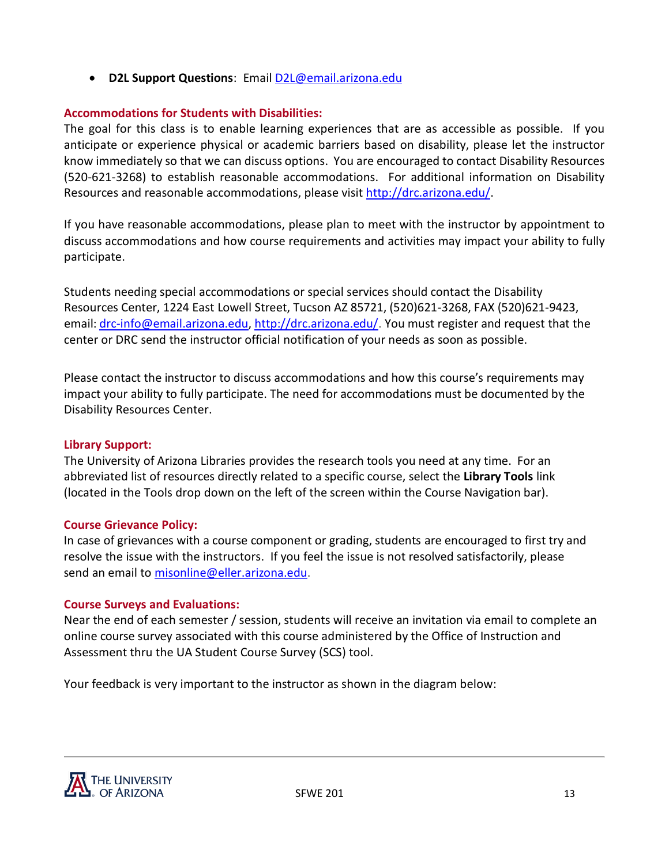• **D2L Support Questions**: Emai[l D2L@email.arizona.edu](mailto:D2L@email.arizona.edu)

### **Accommodations for Students with Disabilities:**

The goal for this class is to enable learning experiences that are as accessible as possible. If you anticipate or experience physical or academic barriers based on disability, please let the instructor know immediately so that we can discuss options. You are encouraged to contact Disability Resources (520-621-3268) to establish reasonable accommodations. For additional information on Disability Resources and reasonable accommodations, please visit [http://drc.arizona.edu/.](http://drc.arizona.edu/)

If you have reasonable accommodations, please plan to meet with the instructor by appointment to discuss accommodations and how course requirements and activities may impact your ability to fully participate.

Students needing special accommodations or special services should contact the Disability Resources Center, 1224 East Lowell Street, Tucson AZ 85721, (520)621-3268, FAX (520)621-9423, email: [drc-info@email.arizona.edu,](mailto:drc-info@email.arizona.edu) [http://drc.arizona.edu/.](http://drc.arizona.edu/) You must register and request that the center or DRC send the instructor official notification of your needs as soon as possible.

Please contact the instructor to discuss accommodations and how this course's requirements may impact your ability to fully participate. The need for accommodations must be documented by the Disability Resources Center.

#### **Library Support:**

The University of Arizona Libraries provides the research tools you need at any time. For an abbreviated list of resources directly related to a specific course, select the **Library Tools** link (located in the Tools drop down on the left of the screen within the Course Navigation bar).

#### **Course Grievance Policy:**

In case of grievances with a course component or grading, students are encouraged to first try and resolve the issue with the instructors. If you feel the issue is not resolved satisfactorily, please send an email to [misonline@eller.arizona.edu.](mailto:misonline@eller.arizona.edu)

#### **Course Surveys and Evaluations:**

Near the end of each semester / session, students will receive an invitation via email to complete an online course survey associated with this course administered by the Office of Instruction and Assessment thru the UA Student Course Survey (SCS) tool.

Your feedback is very important to the instructor as shown in the diagram below: